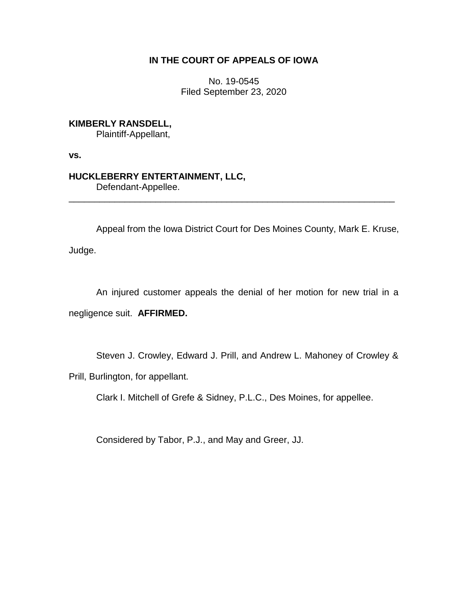## **IN THE COURT OF APPEALS OF IOWA**

No. 19-0545 Filed September 23, 2020

**KIMBERLY RANSDELL,**

Plaintiff-Appellant,

**vs.**

## **HUCKLEBERRY ENTERTAINMENT, LLC,**

Defendant-Appellee.

Appeal from the Iowa District Court for Des Moines County, Mark E. Kruse,

\_\_\_\_\_\_\_\_\_\_\_\_\_\_\_\_\_\_\_\_\_\_\_\_\_\_\_\_\_\_\_\_\_\_\_\_\_\_\_\_\_\_\_\_\_\_\_\_\_\_\_\_\_\_\_\_\_\_\_\_\_\_\_\_

Judge.

An injured customer appeals the denial of her motion for new trial in a negligence suit. **AFFIRMED.**

Steven J. Crowley, Edward J. Prill, and Andrew L. Mahoney of Crowley &

Prill, Burlington, for appellant.

Clark I. Mitchell of Grefe & Sidney, P.L.C., Des Moines, for appellee.

Considered by Tabor, P.J., and May and Greer, JJ.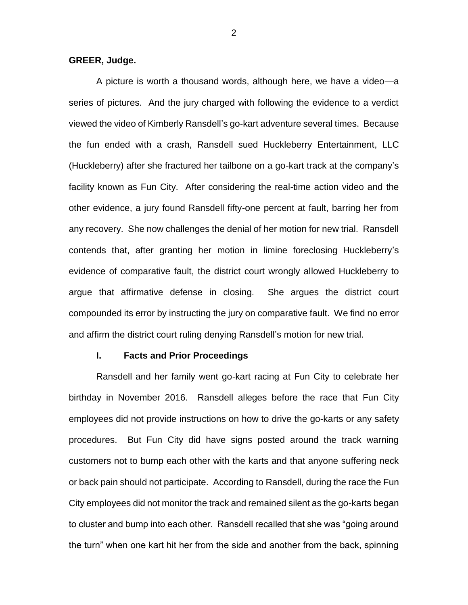**GREER, Judge.**

A picture is worth a thousand words, although here, we have a video—a series of pictures. And the jury charged with following the evidence to a verdict viewed the video of Kimberly Ransdell's go-kart adventure several times. Because the fun ended with a crash, Ransdell sued Huckleberry Entertainment, LLC (Huckleberry) after she fractured her tailbone on a go-kart track at the company's facility known as Fun City. After considering the real-time action video and the other evidence, a jury found Ransdell fifty-one percent at fault, barring her from any recovery. She now challenges the denial of her motion for new trial. Ransdell contends that, after granting her motion in limine foreclosing Huckleberry's evidence of comparative fault, the district court wrongly allowed Huckleberry to argue that affirmative defense in closing. She argues the district court compounded its error by instructing the jury on comparative fault. We find no error and affirm the district court ruling denying Ransdell's motion for new trial.

#### **I. Facts and Prior Proceedings**

Ransdell and her family went go-kart racing at Fun City to celebrate her birthday in November 2016. Ransdell alleges before the race that Fun City employees did not provide instructions on how to drive the go-karts or any safety procedures. But Fun City did have signs posted around the track warning customers not to bump each other with the karts and that anyone suffering neck or back pain should not participate. According to Ransdell, during the race the Fun City employees did not monitor the track and remained silent as the go-karts began to cluster and bump into each other. Ransdell recalled that she was "going around the turn" when one kart hit her from the side and another from the back, spinning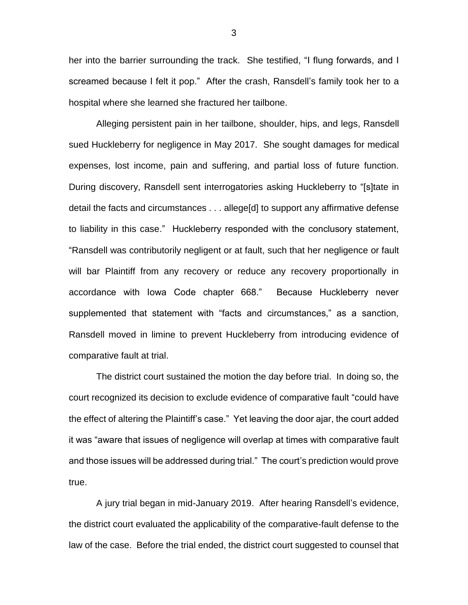her into the barrier surrounding the track. She testified, "I flung forwards, and I screamed because I felt it pop." After the crash, Ransdell's family took her to a hospital where she learned she fractured her tailbone.

Alleging persistent pain in her tailbone, shoulder, hips, and legs, Ransdell sued Huckleberry for negligence in May 2017. She sought damages for medical expenses, lost income, pain and suffering, and partial loss of future function. During discovery, Ransdell sent interrogatories asking Huckleberry to "[s]tate in detail the facts and circumstances . . . allege[d] to support any affirmative defense to liability in this case." Huckleberry responded with the conclusory statement, "Ransdell was contributorily negligent or at fault, such that her negligence or fault will bar Plaintiff from any recovery or reduce any recovery proportionally in accordance with Iowa Code chapter 668." Because Huckleberry never supplemented that statement with "facts and circumstances," as a sanction, Ransdell moved in limine to prevent Huckleberry from introducing evidence of comparative fault at trial.

The district court sustained the motion the day before trial. In doing so, the court recognized its decision to exclude evidence of comparative fault "could have the effect of altering the Plaintiff's case." Yet leaving the door ajar, the court added it was "aware that issues of negligence will overlap at times with comparative fault and those issues will be addressed during trial." The court's prediction would prove true.

A jury trial began in mid-January 2019. After hearing Ransdell's evidence, the district court evaluated the applicability of the comparative-fault defense to the law of the case. Before the trial ended, the district court suggested to counsel that

3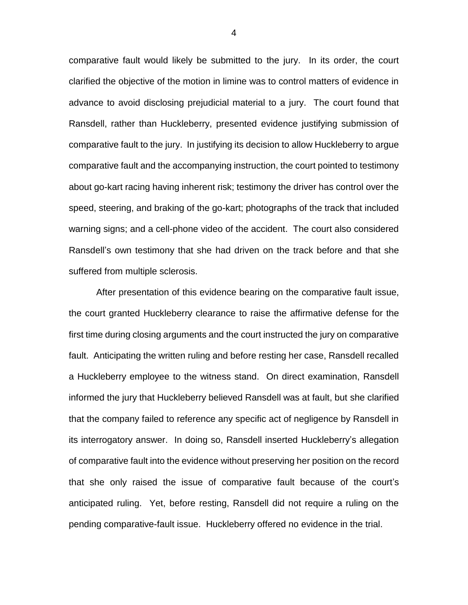comparative fault would likely be submitted to the jury. In its order, the court clarified the objective of the motion in limine was to control matters of evidence in advance to avoid disclosing prejudicial material to a jury. The court found that Ransdell, rather than Huckleberry, presented evidence justifying submission of comparative fault to the jury. In justifying its decision to allow Huckleberry to argue comparative fault and the accompanying instruction, the court pointed to testimony about go-kart racing having inherent risk; testimony the driver has control over the speed, steering, and braking of the go-kart; photographs of the track that included warning signs; and a cell-phone video of the accident. The court also considered Ransdell's own testimony that she had driven on the track before and that she suffered from multiple sclerosis.

After presentation of this evidence bearing on the comparative fault issue, the court granted Huckleberry clearance to raise the affirmative defense for the first time during closing arguments and the court instructed the jury on comparative fault. Anticipating the written ruling and before resting her case, Ransdell recalled a Huckleberry employee to the witness stand. On direct examination, Ransdell informed the jury that Huckleberry believed Ransdell was at fault, but she clarified that the company failed to reference any specific act of negligence by Ransdell in its interrogatory answer. In doing so, Ransdell inserted Huckleberry's allegation of comparative fault into the evidence without preserving her position on the record that she only raised the issue of comparative fault because of the court's anticipated ruling. Yet, before resting, Ransdell did not require a ruling on the pending comparative-fault issue. Huckleberry offered no evidence in the trial.

4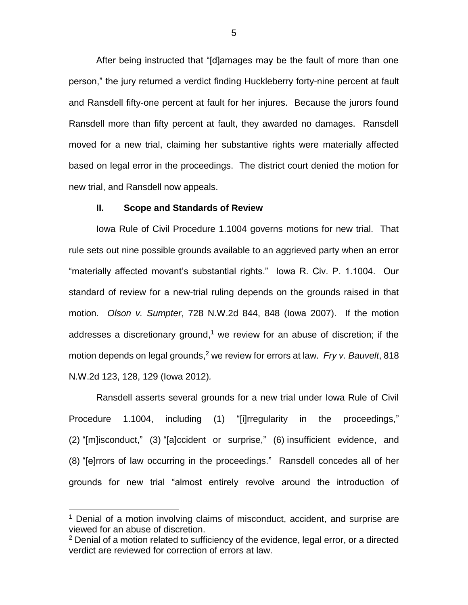After being instructed that "[d]amages may be the fault of more than one person," the jury returned a verdict finding Huckleberry forty-nine percent at fault and Ransdell fifty-one percent at fault for her injures. Because the jurors found Ransdell more than fifty percent at fault, they awarded no damages. Ransdell moved for a new trial, claiming her substantive rights were materially affected based on legal error in the proceedings. The district court denied the motion for new trial, and Ransdell now appeals.

#### **II. Scope and Standards of Review**

Iowa Rule of Civil Procedure 1.1004 governs motions for new trial. That rule sets out nine possible grounds available to an aggrieved party when an error "materially affected movant's substantial rights." Iowa R. Civ. P. 1.1004. Our standard of review for a new-trial ruling depends on the grounds raised in that motion. *Olson v. Sumpter*, 728 N.W.2d 844, 848 (Iowa 2007). If the motion addresses a discretionary ground,<sup>1</sup> we review for an abuse of discretion; if the motion depends on legal grounds, <sup>2</sup> we review for errors at law. *Fry v. Bauvelt*, 818 N.W.2d 123, 128, 129 (Iowa 2012)*.*

Ransdell asserts several grounds for a new trial under Iowa Rule of Civil Procedure 1.1004, including (1) "[i]rregularity in the proceedings," (2) "[m]isconduct," (3) "[a]ccident or surprise," (6) insufficient evidence, and (8) "[e]rrors of law occurring in the proceedings." Ransdell concedes all of her grounds for new trial "almost entirely revolve around the introduction of

<sup>&</sup>lt;sup>1</sup> Denial of a motion involving claims of misconduct, accident, and surprise are viewed for an abuse of discretion.

 $2$  Denial of a motion related to sufficiency of the evidence, legal error, or a directed verdict are reviewed for correction of errors at law.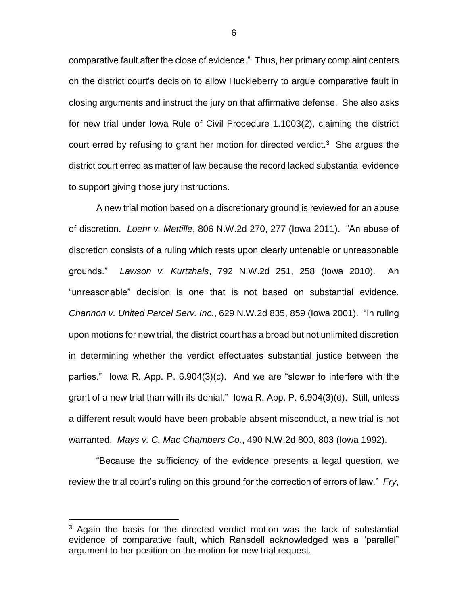comparative fault after the close of evidence." Thus, her primary complaint centers on the district court's decision to allow Huckleberry to argue comparative fault in closing arguments and instruct the jury on that affirmative defense. She also asks for new trial under Iowa Rule of Civil Procedure 1.1003(2), claiming the district court erred by refusing to grant her motion for directed verdict.<sup>3</sup> She argues the district court erred as matter of law because the record lacked substantial evidence to support giving those jury instructions.

A new trial motion based on a discretionary ground is reviewed for an abuse of discretion. *Loehr v. Mettille*, 806 N.W.2d 270, 277 (Iowa 2011). "An abuse of discretion consists of a ruling which rests upon clearly untenable or unreasonable grounds." *Lawson v. Kurtzhals*, 792 N.W.2d 251, 258 (Iowa 2010). An "unreasonable" decision is one that is not based on substantial evidence. *Channon v. United Parcel Serv. Inc.*, 629 N.W.2d 835, 859 (Iowa 2001). "In ruling upon motions for new trial, the district court has a broad but not unlimited discretion in determining whether the verdict effectuates substantial justice between the parties." Iowa R. App. P. 6.904(3)(c). And we are "slower to interfere with the grant of a new trial than with its denial." Iowa R. App. P. 6.904(3)(d). Still, unless a different result would have been probable absent misconduct, a new trial is not warranted. *Mays v. C. Mac Chambers Co.*, 490 N.W.2d 800, 803 (Iowa 1992).

"Because the sufficiency of the evidence presents a legal question, we review the trial court's ruling on this ground for the correction of errors of law." *Fry*,

 $\overline{a}$ 

6

 $3$  Again the basis for the directed verdict motion was the lack of substantial evidence of comparative fault, which Ransdell acknowledged was a "parallel" argument to her position on the motion for new trial request.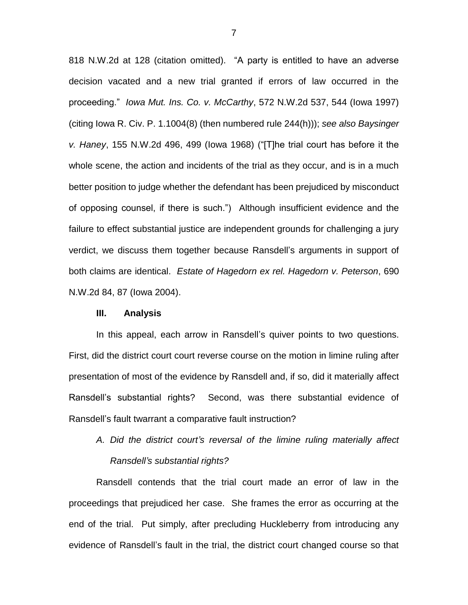818 N.W.2d at 128 (citation omitted). "A party is entitled to have an adverse decision vacated and a new trial granted if errors of law occurred in the proceeding." *Iowa Mut. Ins. Co. v. McCarthy*, 572 N.W.2d 537, 544 (Iowa 1997) (citing Iowa R. Civ. P. 1.1004(8) (then numbered rule 244(h))); *see also Baysinger v. Haney*, 155 N.W.2d 496, 499 (Iowa 1968) ("[T]he trial court has before it the whole scene, the action and incidents of the trial as they occur, and is in a much better position to judge whether the defendant has been prejudiced by misconduct of opposing counsel, if there is such.") Although insufficient evidence and the failure to effect substantial justice are independent grounds for challenging a jury verdict, we discuss them together because Ransdell's arguments in support of both claims are identical. *Estate of Hagedorn ex rel. Hagedorn v. Peterson*, 690 N.W.2d 84, 87 (Iowa 2004).

#### **III. Analysis**

In this appeal, each arrow in Ransdell's quiver points to two questions. First, did the district court court reverse course on the motion in limine ruling after presentation of most of the evidence by Ransdell and, if so, did it materially affect Ransdell's substantial rights? Second, was there substantial evidence of Ransdell's fault twarrant a comparative fault instruction?

# *A. Did the district court's reversal of the limine ruling materially affect Ransdell's substantial rights?*

Ransdell contends that the trial court made an error of law in the proceedings that prejudiced her case. She frames the error as occurring at the end of the trial. Put simply, after precluding Huckleberry from introducing any evidence of Ransdell's fault in the trial, the district court changed course so that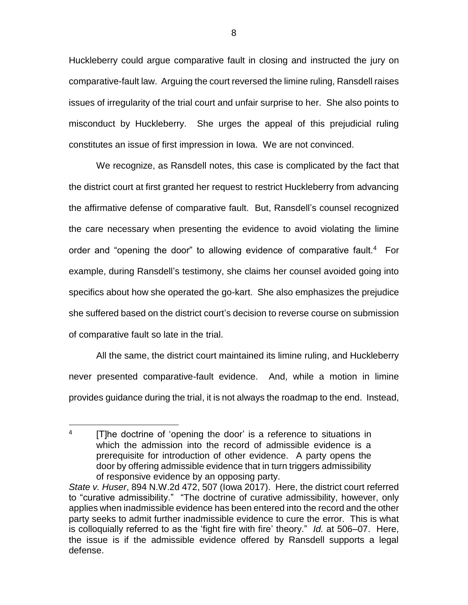Huckleberry could argue comparative fault in closing and instructed the jury on comparative-fault law. Arguing the court reversed the limine ruling, Ransdell raises issues of irregularity of the trial court and unfair surprise to her. She also points to misconduct by Huckleberry. She urges the appeal of this prejudicial ruling constitutes an issue of first impression in Iowa. We are not convinced.

We recognize, as Ransdell notes, this case is complicated by the fact that the district court at first granted her request to restrict Huckleberry from advancing the affirmative defense of comparative fault. But, Ransdell's counsel recognized the care necessary when presenting the evidence to avoid violating the limine order and "opening the door" to allowing evidence of comparative fault.<sup>4</sup> For example, during Ransdell's testimony, she claims her counsel avoided going into specifics about how she operated the go-kart. She also emphasizes the prejudice she suffered based on the district court's decision to reverse course on submission of comparative fault so late in the trial.

All the same, the district court maintained its limine ruling, and Huckleberry never presented comparative-fault evidence. And, while a motion in limine provides guidance during the trial, it is not always the roadmap to the end. Instead,

 $\overline{a}$ 4 [T]he doctrine of 'opening the door' is a reference to situations in which the admission into the record of admissible evidence is a prerequisite for introduction of other evidence. A party opens the door by offering admissible evidence that in turn triggers admissibility of responsive evidence by an opposing party.

*State v. Huser*, 894 N.W.2d 472, 507 (Iowa 2017). Here, the district court referred to "curative admissibility." "The doctrine of curative admissibility, however, only applies when inadmissible evidence has been entered into the record and the other party seeks to admit further inadmissible evidence to cure the error. This is what is colloquially referred to as the 'fight fire with fire' theory." *Id.* at 506–07. Here, the issue is if the admissible evidence offered by Ransdell supports a legal defense.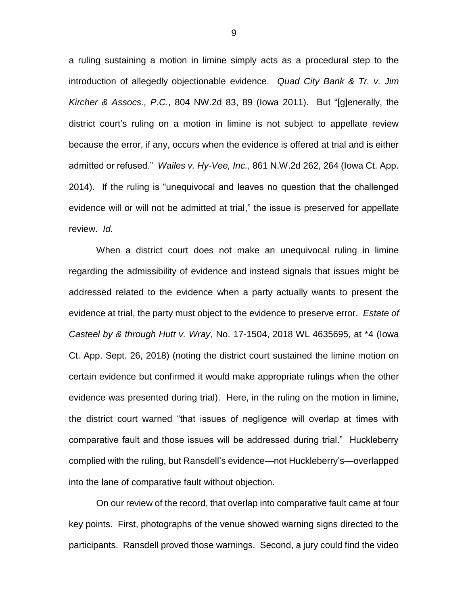a ruling sustaining a motion in limine simply acts as a procedural step to the introduction of allegedly objectionable evidence. *Quad City Bank & Tr. v. Jim Kircher & Assocs., P.C.*, 804 NW.2d 83, 89 (Iowa 2011). But "[g]enerally, the district court's ruling on a motion in limine is not subject to appellate review because the error, if any, occurs when the evidence is offered at trial and is either admitted or refused." *Wailes v. Hy-Vee, Inc.*, 861 N.W.2d 262, 264 (Iowa Ct. App. 2014). If the ruling is "unequivocal and leaves no question that the challenged evidence will or will not be admitted at trial," the issue is preserved for appellate review. *Id.*

When a district court does not make an unequivocal ruling in limine regarding the admissibility of evidence and instead signals that issues might be addressed related to the evidence when a party actually wants to present the evidence at trial, the party must object to the evidence to preserve error. *Estate of Casteel by & through Hutt v. Wray*, No. 17-1504, 2018 WL 4635695, at \*4 (Iowa Ct. App. Sept. 26, 2018) (noting the district court sustained the limine motion on certain evidence but confirmed it would make appropriate rulings when the other evidence was presented during trial). Here, in the ruling on the motion in limine, the district court warned "that issues of negligence will overlap at times with comparative fault and those issues will be addressed during trial." Huckleberry complied with the ruling, but Ransdell's evidence—not Huckleberry's—overlapped into the lane of comparative fault without objection.

On our review of the record, that overlap into comparative fault came at four key points. First, photographs of the venue showed warning signs directed to the participants. Ransdell proved those warnings. Second, a jury could find the video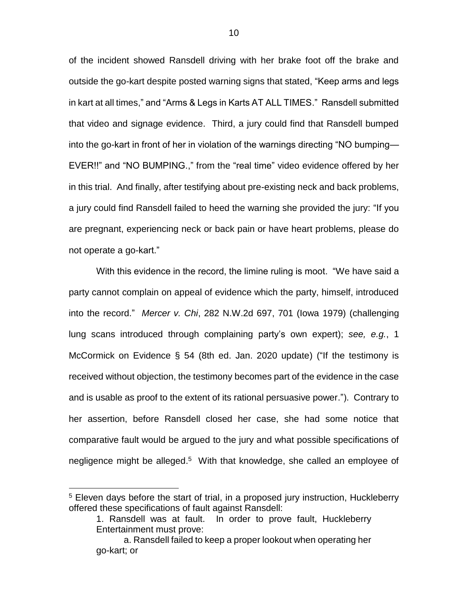of the incident showed Ransdell driving with her brake foot off the brake and outside the go-kart despite posted warning signs that stated, "Keep arms and legs in kart at all times," and "Arms & Legs in Karts AT ALL TIMES." Ransdell submitted that video and signage evidence. Third, a jury could find that Ransdell bumped into the go-kart in front of her in violation of the warnings directing "NO bumping— EVER!!" and "NO BUMPING.," from the "real time" video evidence offered by her in this trial. And finally, after testifying about pre-existing neck and back problems, a jury could find Ransdell failed to heed the warning she provided the jury: "If you are pregnant, experiencing neck or back pain or have heart problems, please do not operate a go-kart."

With this evidence in the record, the limine ruling is moot. "We have said a party cannot complain on appeal of evidence which the party, himself, introduced into the record." *Mercer v. Chi*, 282 N.W.2d 697, 701 (Iowa 1979) (challenging lung scans introduced through complaining party's own expert); *see, e.g.*, 1 McCormick on Evidence § 54 (8th ed. Jan. 2020 update) ("If the testimony is received without objection, the testimony becomes part of the evidence in the case and is usable as proof to the extent of its rational persuasive power."). Contrary to her assertion, before Ransdell closed her case, she had some notice that comparative fault would be argued to the jury and what possible specifications of negligence might be alleged.<sup>5</sup> With that knowledge, she called an employee of

<sup>&</sup>lt;sup>5</sup> Eleven days before the start of trial, in a proposed jury instruction, Huckleberry offered these specifications of fault against Ransdell:

<sup>1.</sup> Ransdell was at fault. In order to prove fault, Huckleberry Entertainment must prove:

a. Ransdell failed to keep a proper lookout when operating her go-kart; or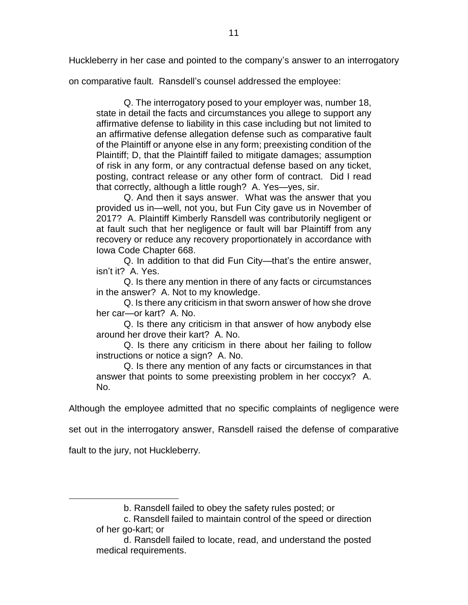Huckleberry in her case and pointed to the company's answer to an interrogatory

on comparative fault. Ransdell's counsel addressed the employee:

Q. The interrogatory posed to your employer was, number 18, state in detail the facts and circumstances you allege to support any affirmative defense to liability in this case including but not limited to an affirmative defense allegation defense such as comparative fault of the Plaintiff or anyone else in any form; preexisting condition of the Plaintiff; D, that the Plaintiff failed to mitigate damages; assumption of risk in any form, or any contractual defense based on any ticket, posting, contract release or any other form of contract. Did I read that correctly, although a little rough? A. Yes—yes, sir.

Q. And then it says answer. What was the answer that you provided us in—well, not you, but Fun City gave us in November of 2017? A. Plaintiff Kimberly Ransdell was contributorily negligent or at fault such that her negligence or fault will bar Plaintiff from any recovery or reduce any recovery proportionately in accordance with Iowa Code Chapter 668.

Q. In addition to that did Fun City—that's the entire answer, isn't it? A. Yes.

Q. Is there any mention in there of any facts or circumstances in the answer? A. Not to my knowledge.

Q. Is there any criticism in that sworn answer of how she drove her car—or kart? A. No.

Q. Is there any criticism in that answer of how anybody else around her drove their kart? A. No.

Q. Is there any criticism in there about her failing to follow instructions or notice a sign? A. No.

Q. Is there any mention of any facts or circumstances in that answer that points to some preexisting problem in her coccyx? A. No.

Although the employee admitted that no specific complaints of negligence were

set out in the interrogatory answer, Ransdell raised the defense of comparative

fault to the jury, not Huckleberry.

b. Ransdell failed to obey the safety rules posted; or

c. Ransdell failed to maintain control of the speed or direction of her go-kart; or

d. Ransdell failed to locate, read, and understand the posted medical requirements.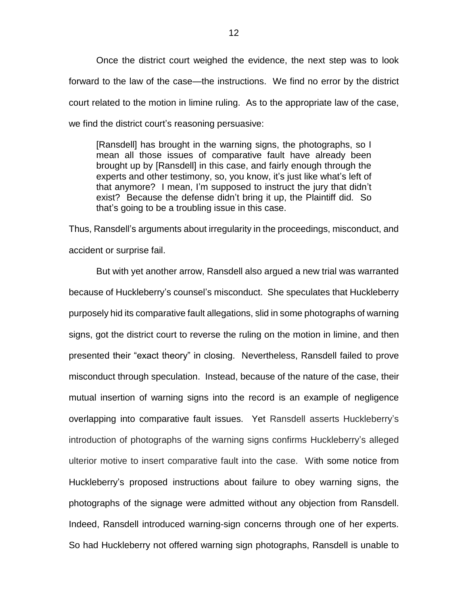Once the district court weighed the evidence, the next step was to look forward to the law of the case—the instructions. We find no error by the district court related to the motion in limine ruling. As to the appropriate law of the case, we find the district court's reasoning persuasive:

[Ransdell] has brought in the warning signs, the photographs, so I mean all those issues of comparative fault have already been brought up by [Ransdell] in this case, and fairly enough through the experts and other testimony, so, you know, it's just like what's left of that anymore? I mean, I'm supposed to instruct the jury that didn't exist? Because the defense didn't bring it up, the Plaintiff did. So that's going to be a troubling issue in this case.

Thus, Ransdell's arguments about irregularity in the proceedings, misconduct, and accident or surprise fail.

But with yet another arrow, Ransdell also argued a new trial was warranted because of Huckleberry's counsel's misconduct. She speculates that Huckleberry purposely hid its comparative fault allegations, slid in some photographs of warning signs, got the district court to reverse the ruling on the motion in limine, and then presented their "exact theory" in closing. Nevertheless, Ransdell failed to prove misconduct through speculation. Instead, because of the nature of the case, their mutual insertion of warning signs into the record is an example of negligence overlapping into comparative fault issues. Yet Ransdell asserts Huckleberry's introduction of photographs of the warning signs confirms Huckleberry's alleged ulterior motive to insert comparative fault into the case. With some notice from Huckleberry's proposed instructions about failure to obey warning signs, the photographs of the signage were admitted without any objection from Ransdell. Indeed, Ransdell introduced warning-sign concerns through one of her experts. So had Huckleberry not offered warning sign photographs, Ransdell is unable to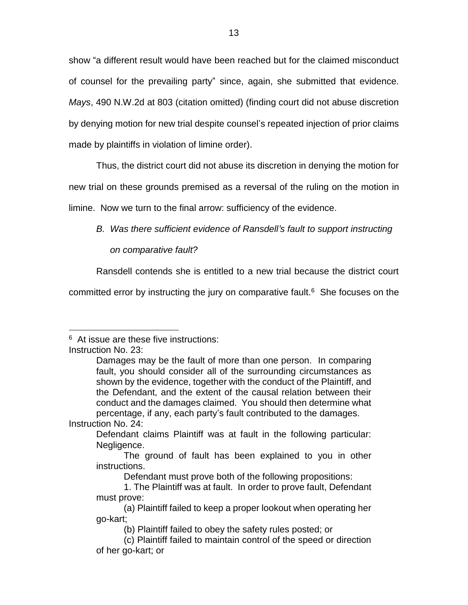show "a different result would have been reached but for the claimed misconduct of counsel for the prevailing party" since, again, she submitted that evidence. *Mays*, 490 N.W.2d at 803 (citation omitted) (finding court did not abuse discretion by denying motion for new trial despite counsel's repeated injection of prior claims made by plaintiffs in violation of limine order).

Thus, the district court did not abuse its discretion in denying the motion for

new trial on these grounds premised as a reversal of the ruling on the motion in

limine. Now we turn to the final arrow: sufficiency of the evidence.

*B. Was there sufficient evidence of Ransdell's fault to support instructing* 

*on comparative fault?*

Ransdell contends she is entitled to a new trial because the district court

committed error by instructing the jury on comparative fault. $6$  She focuses on the

 $\overline{a}$ <sup>6</sup> At issue are these five instructions:

Instruction No. 23:

Damages may be the fault of more than one person. In comparing fault, you should consider all of the surrounding circumstances as shown by the evidence, together with the conduct of the Plaintiff, and the Defendant, and the extent of the causal relation between their conduct and the damages claimed. You should then determine what percentage, if any, each party's fault contributed to the damages.

Instruction No. 24:

Defendant claims Plaintiff was at fault in the following particular: Negligence.

The ground of fault has been explained to you in other instructions.

Defendant must prove both of the following propositions:

<sup>1.</sup> The Plaintiff was at fault. In order to prove fault, Defendant must prove:

<sup>(</sup>a) Plaintiff failed to keep a proper lookout when operating her go-kart;

<sup>(</sup>b) Plaintiff failed to obey the safety rules posted; or

<sup>(</sup>c) Plaintiff failed to maintain control of the speed or direction of her go-kart; or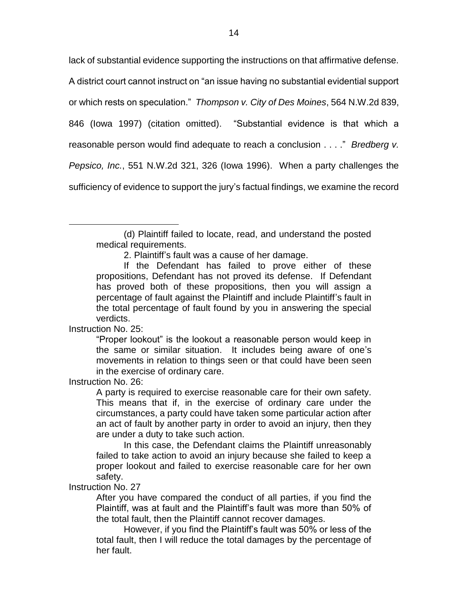lack of substantial evidence supporting the instructions on that affirmative defense.

A district court cannot instruct on "an issue having no substantial evidential support

or which rests on speculation." *Thompson v. City of Des Moines*, 564 N.W.2d 839,

846 (Iowa 1997) (citation omitted). "Substantial evidence is that which a

reasonable person would find adequate to reach a conclusion . . . ." *Bredberg v.* 

*Pepsico, Inc.*, 551 N.W.2d 321, 326 (Iowa 1996). When a party challenges the

sufficiency of evidence to support the jury's factual findings, we examine the record

Instruction No. 25:

 $\overline{a}$ 

"Proper lookout" is the lookout a reasonable person would keep in the same or similar situation. It includes being aware of one's movements in relation to things seen or that could have been seen in the exercise of ordinary care.

Instruction No. 26:

A party is required to exercise reasonable care for their own safety. This means that if, in the exercise of ordinary care under the circumstances, a party could have taken some particular action after an act of fault by another party in order to avoid an injury, then they are under a duty to take such action.

In this case, the Defendant claims the Plaintiff unreasonably failed to take action to avoid an injury because she failed to keep a proper lookout and failed to exercise reasonable care for her own safety.

Instruction No. 27

After you have compared the conduct of all parties, if you find the Plaintiff, was at fault and the Plaintiff's fault was more than 50% of the total fault, then the Plaintiff cannot recover damages.

However, if you find the Plaintiff's fault was 50% or less of the total fault, then I will reduce the total damages by the percentage of her fault.

<sup>(</sup>d) Plaintiff failed to locate, read, and understand the posted medical requirements.

<sup>2.</sup> Plaintiff's fault was a cause of her damage.

If the Defendant has failed to prove either of these propositions, Defendant has not proved its defense. If Defendant has proved both of these propositions, then you will assign a percentage of fault against the Plaintiff and include Plaintiff's fault in the total percentage of fault found by you in answering the special verdicts.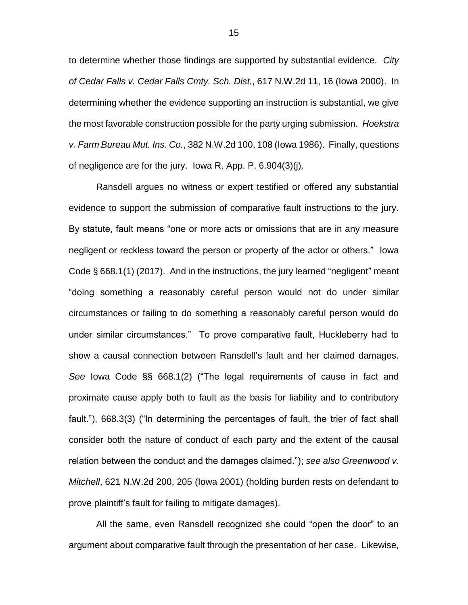to determine whether those findings are supported by substantial evidence. *City of Cedar Falls v. Cedar Falls Cmty. Sch. Dist.*, 617 N.W.2d 11, 16 (Iowa 2000). In determining whether the evidence supporting an instruction is substantial, we give the most favorable construction possible for the party urging submission. *Hoekstra v. Farm Bureau Mut. Ins. Co.*, 382 N.W.2d 100, 108 (Iowa 1986). Finally, questions of negligence are for the jury. Iowa R. App. P. 6.904(3)(j).

Ransdell argues no witness or expert testified or offered any substantial evidence to support the submission of comparative fault instructions to the jury. By statute, fault means "one or more acts or omissions that are in any measure negligent or reckless toward the person or property of the actor or others." Iowa Code § 668.1(1) (2017). And in the instructions, the jury learned "negligent" meant "doing something a reasonably careful person would not do under similar circumstances or failing to do something a reasonably careful person would do under similar circumstances." To prove comparative fault, Huckleberry had to show a causal connection between Ransdell's fault and her claimed damages. *See* Iowa Code §§ 668.1(2) ("The legal requirements of cause in fact and proximate cause apply both to fault as the basis for liability and to contributory fault."), 668.3(3) ("In determining the percentages of fault, the trier of fact shall consider both the nature of conduct of each party and the extent of the causal relation between the conduct and the damages claimed."); *see also Greenwood v. Mitchell*, 621 N.W.2d 200, 205 (Iowa 2001) (holding burden rests on defendant to prove plaintiff's fault for failing to mitigate damages).

All the same, even Ransdell recognized she could "open the door" to an argument about comparative fault through the presentation of her case. Likewise,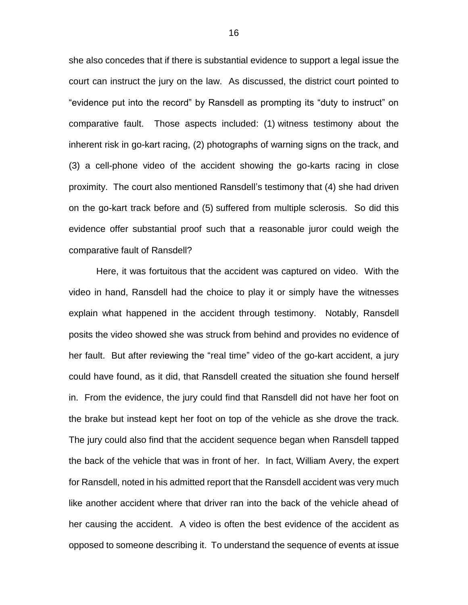she also concedes that if there is substantial evidence to support a legal issue the court can instruct the jury on the law. As discussed, the district court pointed to "evidence put into the record" by Ransdell as prompting its "duty to instruct" on comparative fault. Those aspects included: (1) witness testimony about the inherent risk in go-kart racing, (2) photographs of warning signs on the track, and (3) a cell-phone video of the accident showing the go-karts racing in close proximity. The court also mentioned Ransdell's testimony that (4) she had driven on the go-kart track before and (5) suffered from multiple sclerosis. So did this evidence offer substantial proof such that a reasonable juror could weigh the comparative fault of Ransdell?

Here, it was fortuitous that the accident was captured on video. With the video in hand, Ransdell had the choice to play it or simply have the witnesses explain what happened in the accident through testimony. Notably, Ransdell posits the video showed she was struck from behind and provides no evidence of her fault. But after reviewing the "real time" video of the go-kart accident, a jury could have found, as it did, that Ransdell created the situation she found herself in. From the evidence, the jury could find that Ransdell did not have her foot on the brake but instead kept her foot on top of the vehicle as she drove the track. The jury could also find that the accident sequence began when Ransdell tapped the back of the vehicle that was in front of her. In fact, William Avery, the expert for Ransdell, noted in his admitted report that the Ransdell accident was very much like another accident where that driver ran into the back of the vehicle ahead of her causing the accident. A video is often the best evidence of the accident as opposed to someone describing it. To understand the sequence of events at issue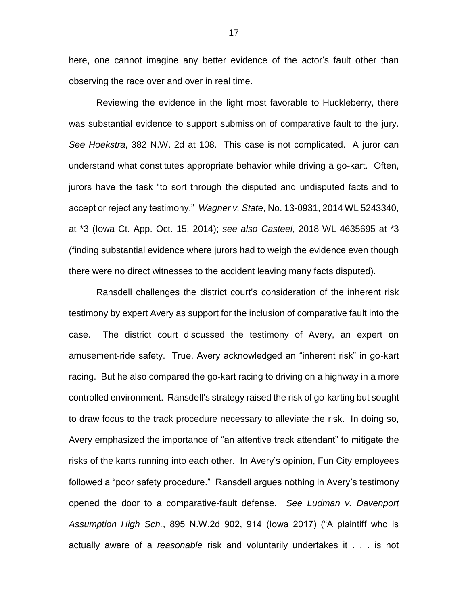here, one cannot imagine any better evidence of the actor's fault other than observing the race over and over in real time.

Reviewing the evidence in the light most favorable to Huckleberry, there was substantial evidence to support submission of comparative fault to the jury. *See Hoekstra*, 382 N.W. 2d at 108. This case is not complicated. A juror can understand what constitutes appropriate behavior while driving a go-kart. Often, jurors have the task "to sort through the disputed and undisputed facts and to accept or reject any testimony." *Wagner v. State*, No. 13-0931, 2014 WL 5243340, at \*3 (Iowa Ct. App. Oct. 15, 2014); *see also Casteel*, 2018 WL 4635695 at \*3 (finding substantial evidence where jurors had to weigh the evidence even though there were no direct witnesses to the accident leaving many facts disputed).

Ransdell challenges the district court's consideration of the inherent risk testimony by expert Avery as support for the inclusion of comparative fault into the case. The district court discussed the testimony of Avery, an expert on amusement-ride safety. True, Avery acknowledged an "inherent risk" in go-kart racing. But he also compared the go-kart racing to driving on a highway in a more controlled environment. Ransdell's strategy raised the risk of go-karting but sought to draw focus to the track procedure necessary to alleviate the risk. In doing so, Avery emphasized the importance of "an attentive track attendant" to mitigate the risks of the karts running into each other. In Avery's opinion, Fun City employees followed a "poor safety procedure." Ransdell argues nothing in Avery's testimony opened the door to a comparative-fault defense. *See Ludman v. Davenport Assumption High Sch.*, 895 N.W.2d 902, 914 (Iowa 2017) ("A plaintiff who is actually aware of a *reasonable* risk and voluntarily undertakes it . . . is not

17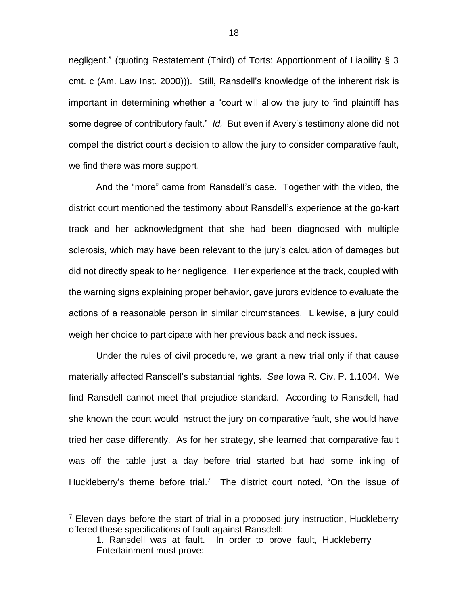negligent." (quoting Restatement (Third) of Torts: Apportionment of Liability § 3 cmt. c (Am. Law Inst. 2000))). Still, Ransdell's knowledge of the inherent risk is important in determining whether a "court will allow the jury to find plaintiff has some degree of contributory fault." *Id.* But even if Avery's testimony alone did not compel the district court's decision to allow the jury to consider comparative fault, we find there was more support.

And the "more" came from Ransdell's case. Together with the video, the district court mentioned the testimony about Ransdell's experience at the go-kart track and her acknowledgment that she had been diagnosed with multiple sclerosis, which may have been relevant to the jury's calculation of damages but did not directly speak to her negligence. Her experience at the track, coupled with the warning signs explaining proper behavior, gave jurors evidence to evaluate the actions of a reasonable person in similar circumstances. Likewise, a jury could weigh her choice to participate with her previous back and neck issues.

Under the rules of civil procedure, we grant a new trial only if that cause materially affected Ransdell's substantial rights. *See* Iowa R. Civ. P. 1.1004. We find Ransdell cannot meet that prejudice standard. According to Ransdell, had she known the court would instruct the jury on comparative fault, she would have tried her case differently. As for her strategy, she learned that comparative fault was off the table just a day before trial started but had some inkling of Huckleberry's theme before trial.<sup>7</sup> The district court noted, "On the issue of

 $7$  Eleven days before the start of trial in a proposed jury instruction, Huckleberry offered these specifications of fault against Ransdell:

<sup>1.</sup> Ransdell was at fault. In order to prove fault, Huckleberry Entertainment must prove: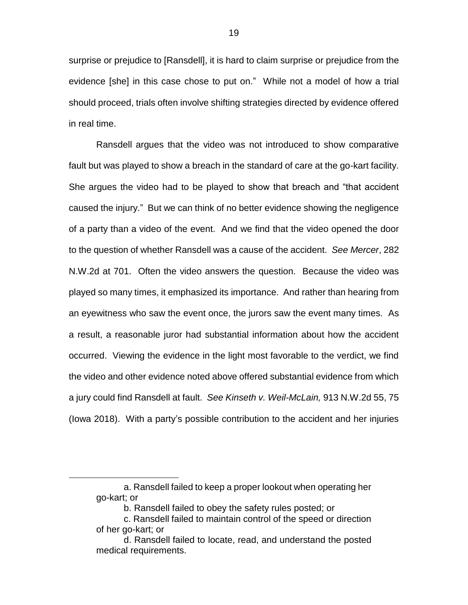surprise or prejudice to [Ransdell], it is hard to claim surprise or prejudice from the evidence [she] in this case chose to put on." While not a model of how a trial should proceed, trials often involve shifting strategies directed by evidence offered in real time.

Ransdell argues that the video was not introduced to show comparative fault but was played to show a breach in the standard of care at the go-kart facility. She argues the video had to be played to show that breach and "that accident caused the injury." But we can think of no better evidence showing the negligence of a party than a video of the event. And we find that the video opened the door to the question of whether Ransdell was a cause of the accident. *See Mercer*, 282 N.W.2d at 701. Often the video answers the question. Because the video was played so many times, it emphasized its importance. And rather than hearing from an eyewitness who saw the event once, the jurors saw the event many times. As a result, a reasonable juror had substantial information about how the accident occurred. Viewing the evidence in the light most favorable to the verdict, we find the video and other evidence noted above offered substantial evidence from which a jury could find Ransdell at fault. *See Kinseth v. Weil-McLain,* 913 N.W.2d 55, 75 (Iowa 2018). With a party's possible contribution to the accident and her injuries

a. Ransdell failed to keep a proper lookout when operating her go-kart; or

b. Ransdell failed to obey the safety rules posted; or

c. Ransdell failed to maintain control of the speed or direction of her go-kart; or

d. Ransdell failed to locate, read, and understand the posted medical requirements.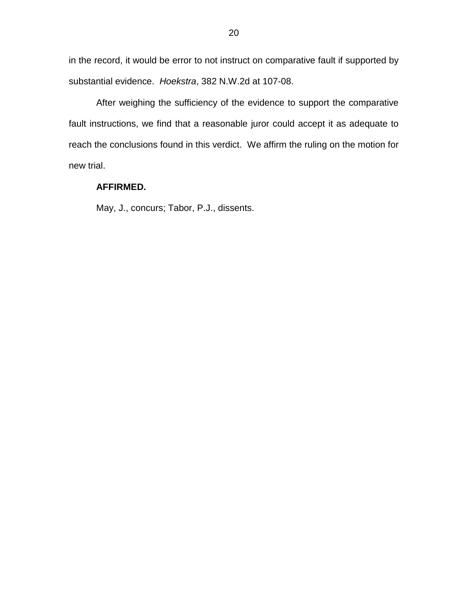in the record, it would be error to not instruct on comparative fault if supported by substantial evidence. *Hoekstra*, 382 N.W.2d at 107-08.

After weighing the sufficiency of the evidence to support the comparative fault instructions, we find that a reasonable juror could accept it as adequate to reach the conclusions found in this verdict. We affirm the ruling on the motion for new trial.

### **AFFIRMED.**

May, J., concurs; Tabor, P.J., dissents.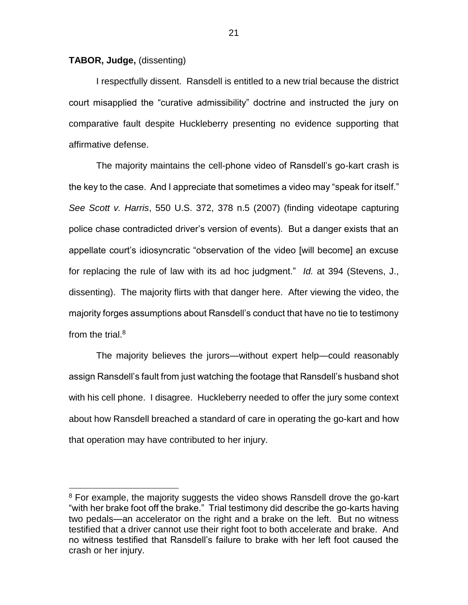**TABOR, Judge,** (dissenting)

 $\overline{a}$ 

I respectfully dissent. Ransdell is entitled to a new trial because the district court misapplied the "curative admissibility" doctrine and instructed the jury on comparative fault despite Huckleberry presenting no evidence supporting that affirmative defense.

The majority maintains the cell-phone video of Ransdell's go-kart crash is the key to the case. And I appreciate that sometimes a video may "speak for itself." *See Scott v. Harris*, 550 U.S. 372, 378 n.5 (2007) (finding videotape capturing police chase contradicted driver's version of events). But a danger exists that an appellate court's idiosyncratic "observation of the video [will become] an excuse for replacing the rule of law with its ad hoc judgment." *Id.* at 394 (Stevens, J., dissenting). The majority flirts with that danger here. After viewing the video, the majority forges assumptions about Ransdell's conduct that have no tie to testimony from the trial. $8$ 

The majority believes the jurors—without expert help—could reasonably assign Ransdell's fault from just watching the footage that Ransdell's husband shot with his cell phone. I disagree. Huckleberry needed to offer the jury some context about how Ransdell breached a standard of care in operating the go-kart and how that operation may have contributed to her injury.

<sup>&</sup>lt;sup>8</sup> For example, the majority suggests the video shows Ransdell drove the go-kart "with her brake foot off the brake." Trial testimony did describe the go-karts having two pedals—an accelerator on the right and a brake on the left. But no witness testified that a driver cannot use their right foot to both accelerate and brake. And no witness testified that Ransdell's failure to brake with her left foot caused the crash or her injury.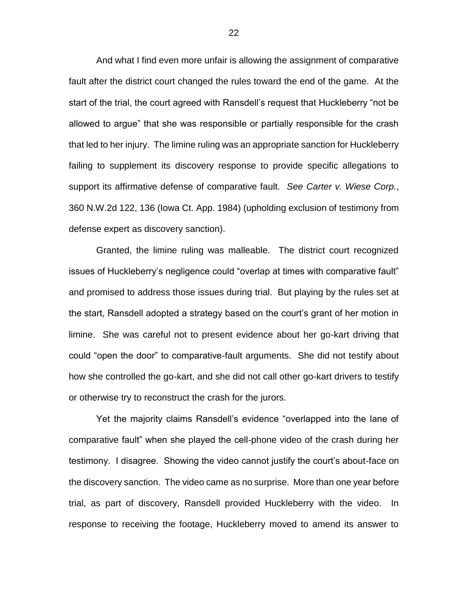And what I find even more unfair is allowing the assignment of comparative fault after the district court changed the rules toward the end of the game. At the start of the trial, the court agreed with Ransdell's request that Huckleberry "not be allowed to argue" that she was responsible or partially responsible for the crash that led to her injury. The limine ruling was an appropriate sanction for Huckleberry failing to supplement its discovery response to provide specific allegations to support its affirmative defense of comparative fault. *See Carter v. Wiese Corp.*, 360 N.W.2d 122, 136 (Iowa Ct. App. 1984) (upholding exclusion of testimony from defense expert as discovery sanction).

Granted, the limine ruling was malleable. The district court recognized issues of Huckleberry's negligence could "overlap at times with comparative fault" and promised to address those issues during trial. But playing by the rules set at the start, Ransdell adopted a strategy based on the court's grant of her motion in limine. She was careful not to present evidence about her go-kart driving that could "open the door" to comparative-fault arguments. She did not testify about how she controlled the go-kart, and she did not call other go-kart drivers to testify or otherwise try to reconstruct the crash for the jurors.

Yet the majority claims Ransdell's evidence "overlapped into the lane of comparative fault" when she played the cell-phone video of the crash during her testimony. I disagree. Showing the video cannot justify the court's about-face on the discovery sanction. The video came as no surprise. More than one year before trial, as part of discovery, Ransdell provided Huckleberry with the video. In response to receiving the footage, Huckleberry moved to amend its answer to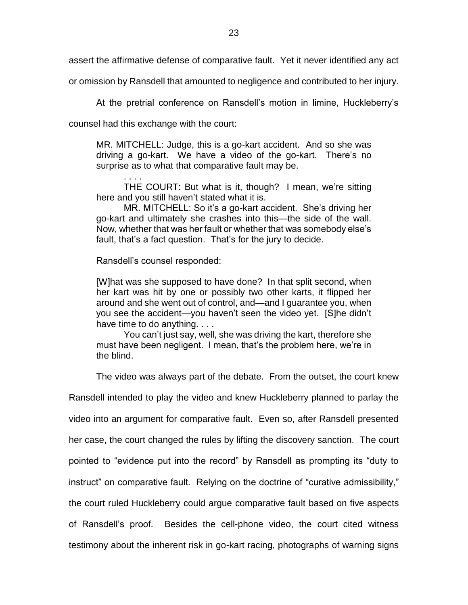assert the affirmative defense of comparative fault. Yet it never identified any act

or omission by Ransdell that amounted to negligence and contributed to her injury.

At the pretrial conference on Ransdell's motion in limine, Huckleberry's

counsel had this exchange with the court:

MR. MITCHELL: Judge, this is a go-kart accident. And so she was driving a go-kart. We have a video of the go-kart. There's no surprise as to what that comparative fault may be.

. . . . THE COURT: But what is it, though? I mean, we're sitting here and you still haven't stated what it is.

MR. MITCHELL: So it's a go-kart accident. She's driving her go-kart and ultimately she crashes into this—the side of the wall. Now, whether that was her fault or whether that was somebody else's fault, that's a fact question. That's for the jury to decide.

Ransdell's counsel responded:

[W]hat was she supposed to have done? In that split second, when her kart was hit by one or possibly two other karts, it flipped her around and she went out of control, and—and I guarantee you, when you see the accident—you haven't seen the video yet. [S]he didn't have time to do anything. . . .

You can't just say, well, she was driving the kart, therefore she must have been negligent. I mean, that's the problem here, we're in the blind.

The video was always part of the debate. From the outset, the court knew

Ransdell intended to play the video and knew Huckleberry planned to parlay the video into an argument for comparative fault. Even so, after Ransdell presented her case, the court changed the rules by lifting the discovery sanction. The court pointed to "evidence put into the record" by Ransdell as prompting its "duty to instruct" on comparative fault. Relying on the doctrine of "curative admissibility," the court ruled Huckleberry could argue comparative fault based on five aspects of Ransdell's proof. Besides the cell-phone video, the court cited witness testimony about the inherent risk in go-kart racing, photographs of warning signs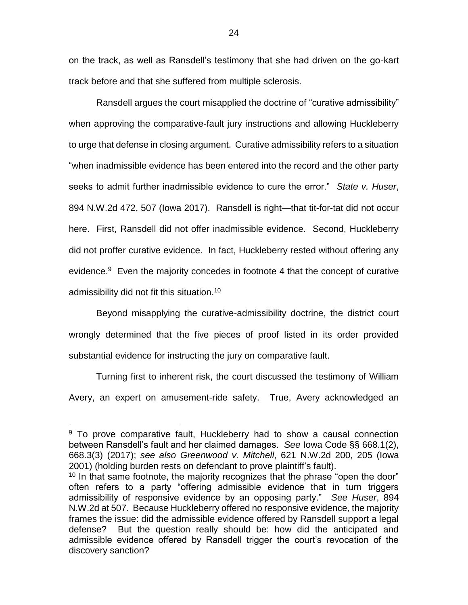on the track, as well as Ransdell's testimony that she had driven on the go-kart track before and that she suffered from multiple sclerosis.

Ransdell argues the court misapplied the doctrine of "curative admissibility" when approving the comparative-fault jury instructions and allowing Huckleberry to urge that defense in closing argument. Curative admissibility refers to a situation "when inadmissible evidence has been entered into the record and the other party seeks to admit further inadmissible evidence to cure the error." *State v. Huser*, 894 N.W.2d 472, 507 (Iowa 2017). Ransdell is right—that tit-for-tat did not occur here. First, Ransdell did not offer inadmissible evidence. Second, Huckleberry did not proffer curative evidence. In fact, Huckleberry rested without offering any evidence.<sup>9</sup> Even the majority concedes in footnote 4 that the concept of curative admissibility did not fit this situation.<sup>10</sup>

Beyond misapplying the curative-admissibility doctrine, the district court wrongly determined that the five pieces of proof listed in its order provided substantial evidence for instructing the jury on comparative fault.

Turning first to inherent risk, the court discussed the testimony of William Avery, an expert on amusement-ride safety. True, Avery acknowledged an

<sup>&</sup>lt;sup>9</sup> To prove comparative fault, Huckleberry had to show a causal connection between Ransdell's fault and her claimed damages. *See* Iowa Code §§ 668.1(2), 668.3(3) (2017); *see also Greenwood v. Mitchell*, 621 N.W.2d 200, 205 (Iowa 2001) (holding burden rests on defendant to prove plaintiff's fault).

 $10$  In that same footnote, the majority recognizes that the phrase "open the door" often refers to a party "offering admissible evidence that in turn triggers admissibility of responsive evidence by an opposing party." *See Huser*, 894 N.W.2d at 507. Because Huckleberry offered no responsive evidence, the majority frames the issue: did the admissible evidence offered by Ransdell support a legal defense? But the question really should be: how did the anticipated and admissible evidence offered by Ransdell trigger the court's revocation of the discovery sanction?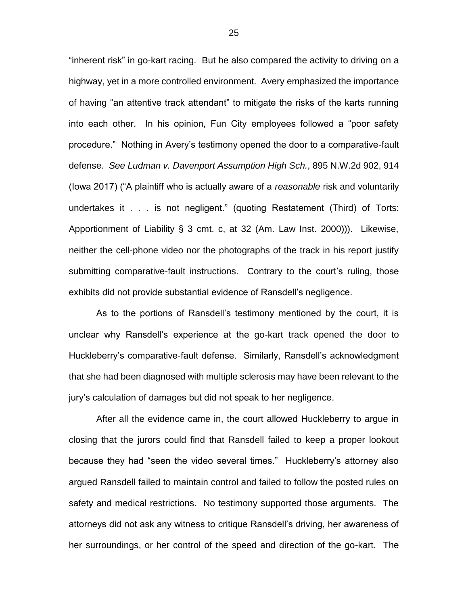"inherent risk" in go-kart racing. But he also compared the activity to driving on a highway, yet in a more controlled environment. Avery emphasized the importance of having "an attentive track attendant" to mitigate the risks of the karts running into each other. In his opinion, Fun City employees followed a "poor safety procedure." Nothing in Avery's testimony opened the door to a comparative-fault defense. *See Ludman v. Davenport Assumption High Sch.*, 895 N.W.2d 902, 914 (Iowa 2017) ("A plaintiff who is actually aware of a *reasonable* risk and voluntarily undertakes it . . . is not negligent." (quoting Restatement (Third) of Torts: Apportionment of Liability § 3 cmt. c, at 32 (Am. Law Inst. 2000))). Likewise, neither the cell-phone video nor the photographs of the track in his report justify submitting comparative-fault instructions. Contrary to the court's ruling, those exhibits did not provide substantial evidence of Ransdell's negligence.

As to the portions of Ransdell's testimony mentioned by the court, it is unclear why Ransdell's experience at the go-kart track opened the door to Huckleberry's comparative-fault defense. Similarly, Ransdell's acknowledgment that she had been diagnosed with multiple sclerosis may have been relevant to the jury's calculation of damages but did not speak to her negligence.

After all the evidence came in, the court allowed Huckleberry to argue in closing that the jurors could find that Ransdell failed to keep a proper lookout because they had "seen the video several times." Huckleberry's attorney also argued Ransdell failed to maintain control and failed to follow the posted rules on safety and medical restrictions. No testimony supported those arguments. The attorneys did not ask any witness to critique Ransdell's driving, her awareness of her surroundings, or her control of the speed and direction of the go-kart. The

25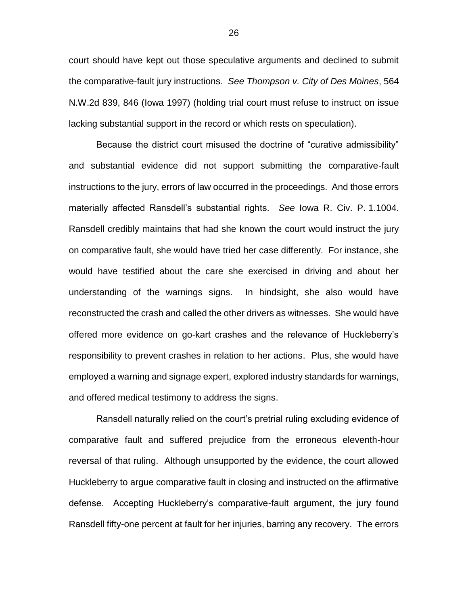court should have kept out those speculative arguments and declined to submit the comparative-fault jury instructions. *See Thompson v. City of Des Moines*, 564 N.W.2d 839, 846 (Iowa 1997) (holding trial court must refuse to instruct on issue lacking substantial support in the record or which rests on speculation).

Because the district court misused the doctrine of "curative admissibility" and substantial evidence did not support submitting the comparative-fault instructions to the jury, errors of law occurred in the proceedings. And those errors materially affected Ransdell's substantial rights. *See* Iowa R. Civ. P. 1.1004. Ransdell credibly maintains that had she known the court would instruct the jury on comparative fault, she would have tried her case differently. For instance, she would have testified about the care she exercised in driving and about her understanding of the warnings signs. In hindsight, she also would have reconstructed the crash and called the other drivers as witnesses. She would have offered more evidence on go-kart crashes and the relevance of Huckleberry's responsibility to prevent crashes in relation to her actions. Plus, she would have employed a warning and signage expert, explored industry standards for warnings, and offered medical testimony to address the signs.

Ransdell naturally relied on the court's pretrial ruling excluding evidence of comparative fault and suffered prejudice from the erroneous eleventh-hour reversal of that ruling. Although unsupported by the evidence, the court allowed Huckleberry to argue comparative fault in closing and instructed on the affirmative defense. Accepting Huckleberry's comparative-fault argument, the jury found Ransdell fifty-one percent at fault for her injuries, barring any recovery. The errors